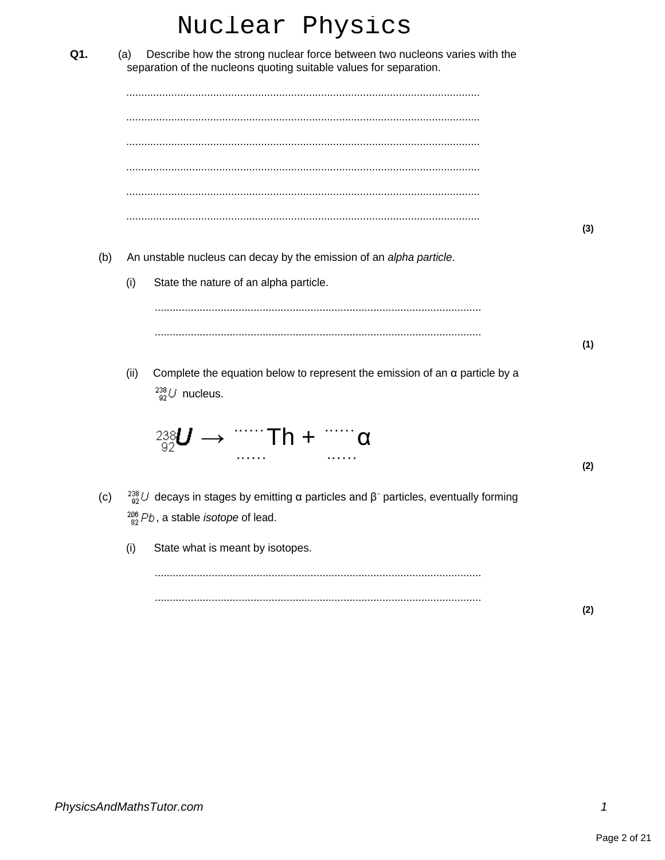|     |     |      | Nuclear Physics                                                                                                                                                                            |     |
|-----|-----|------|--------------------------------------------------------------------------------------------------------------------------------------------------------------------------------------------|-----|
| Q1. |     | (a)  | Describe how the strong nuclear force between two nucleons varies with the<br>separation of the nucleons quoting suitable values for separation.                                           |     |
|     |     |      |                                                                                                                                                                                            |     |
|     |     |      |                                                                                                                                                                                            |     |
|     |     |      |                                                                                                                                                                                            |     |
|     | (b) |      | An unstable nucleus can decay by the emission of an alpha particle.                                                                                                                        | (3) |
|     |     | (i)  | State the nature of an alpha particle.                                                                                                                                                     |     |
|     |     |      |                                                                                                                                                                                            | (1) |
|     |     | (ii) | Complete the equation below to represent the emission of an $\alpha$ particle by a<br>$^{238}_{92}$ U nucleus.                                                                             |     |
|     |     |      | $\frac{238}{92}$ <i>U</i> → $\cdots$ Th + $\cdots$ α                                                                                                                                       | (2) |
|     |     |      | (c) $\frac{238}{92}$ <i>U</i> decays in stages by emitting $\alpha$ particles and $\beta$ <sup>-</sup> particles, eventually forming<br>$^{206}_{82}Pb$ , a stable <i>isotope</i> of lead. |     |
|     |     | (i)  | State what is meant by isotopes.                                                                                                                                                           |     |
|     |     |      |                                                                                                                                                                                            | (2) |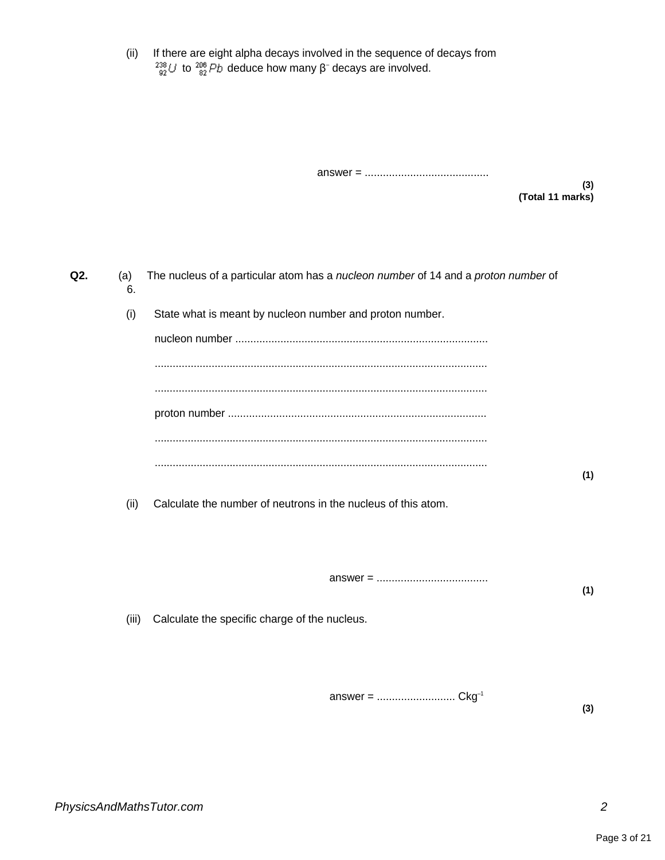(ii) If there are eight alpha decays involved in the sequence of decays from to  $\frac{206}{82}Pb$  deduce how many β<sup>-</sup> decays are involved.

answer = .........................................

**(3) (Total 11 marks)**

**Q2.** (a) The nucleus of a particular atom has a nucleon number of 14 and a proton number of 6. (i) State what is meant by nucleon number and proton number. nucleon number .................................................................................... ............................................................................................................... ............................................................................................................... proton number ...................................................................................... ............................................................................................................... ............................................................................................................... **(1)** (ii) Calculate the number of neutrons in the nucleus of this atom. answer = ..................................... **(1)** (iii) Calculate the specific charge of the nucleus. answer = .......................... Ckg–1

**(3)**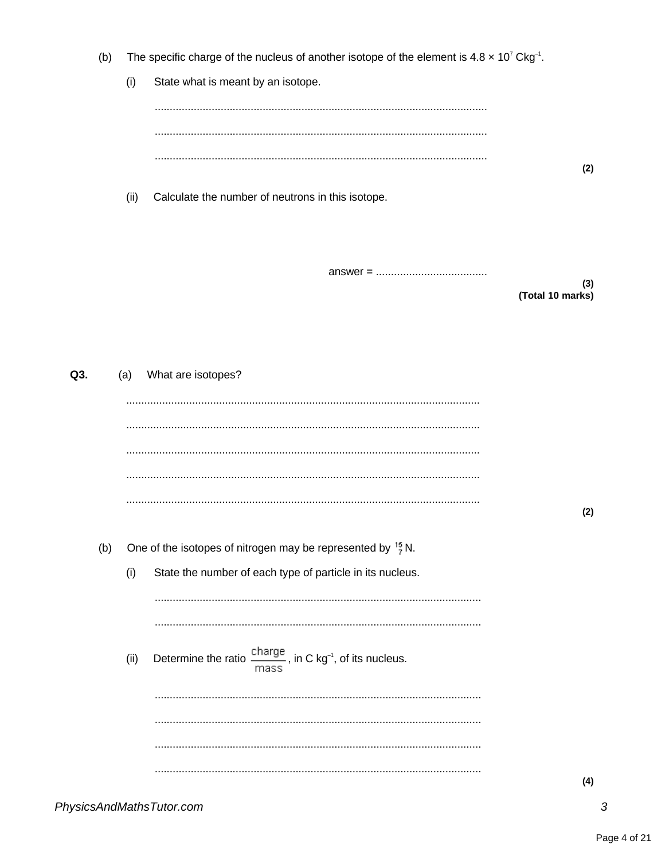The specific charge of the nucleus of another isotope of the element is  $4.8 \times 10^{7}$  Ckg<sup>-1</sup>.  $(b)$ 

 $(i)$ State what is meant by an isotope.

Calculate the number of neutrons in this isotope.  $(ii)$ 

 $(3)$ (Total 10 marks)

 $(2)$ 

| Q3. |     | (a)  | What are isotopes?                                                                                |     |
|-----|-----|------|---------------------------------------------------------------------------------------------------|-----|
|     |     |      |                                                                                                   |     |
|     |     |      |                                                                                                   |     |
|     |     |      |                                                                                                   |     |
|     |     |      |                                                                                                   |     |
|     |     |      |                                                                                                   | (2) |
|     | (b) |      | One of the isotopes of nitrogen may be represented by $\frac{15}{7}$ N.                           |     |
|     |     | (i)  | State the number of each type of particle in its nucleus.                                         |     |
|     |     |      |                                                                                                   |     |
|     |     |      |                                                                                                   |     |
|     |     | (ii) | Determine the ratio $\frac{\text{charge}}{\text{mass}}$ , in C kg <sup>-1</sup> , of its nucleus. |     |
|     |     |      |                                                                                                   |     |
|     |     |      |                                                                                                   |     |
|     |     |      |                                                                                                   |     |
|     |     |      |                                                                                                   | (4) |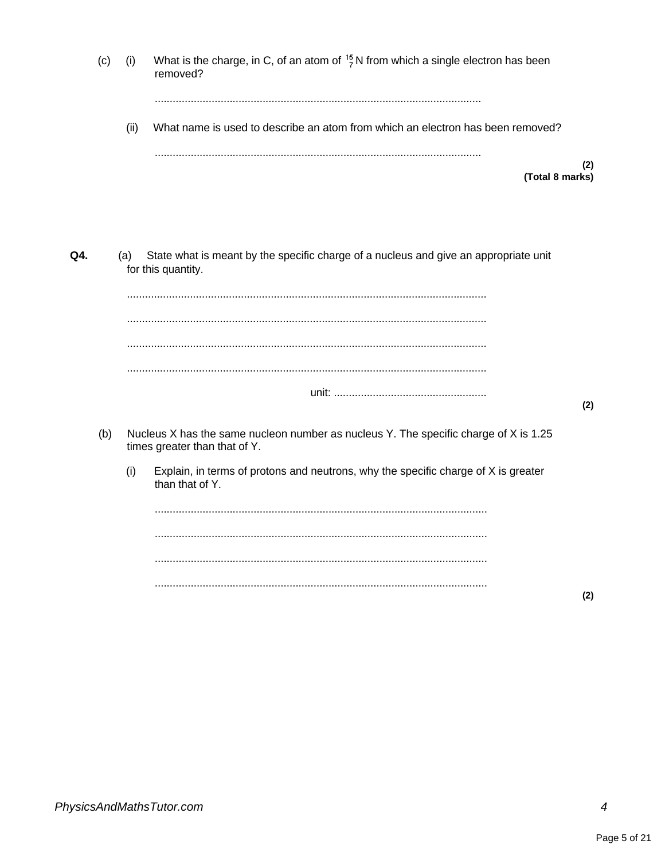|     | (c) | (i)  | What is the charge, in C, of an atom of $\frac{15}{7}$ N from which a single electron has been<br>removed?            |     |
|-----|-----|------|-----------------------------------------------------------------------------------------------------------------------|-----|
|     |     | (ii) | What name is used to describe an atom from which an electron has been removed?                                        |     |
|     |     |      | (Total 8 marks)                                                                                                       | (2) |
| Q4. |     | (a)  | State what is meant by the specific charge of a nucleus and give an appropriate unit<br>for this quantity.            |     |
|     |     |      |                                                                                                                       |     |
|     |     |      |                                                                                                                       |     |
|     |     |      |                                                                                                                       | (2) |
|     | (b) |      | Nucleus X has the same nucleon number as nucleus Y. The specific charge of X is 1.25<br>times greater than that of Y. |     |
|     |     | (i)  | Explain, in terms of protons and neutrons, why the specific charge of X is greater<br>than that of Y.                 |     |
|     |     |      |                                                                                                                       |     |
|     |     |      |                                                                                                                       |     |
|     |     |      |                                                                                                                       |     |
|     |     |      |                                                                                                                       | (2) |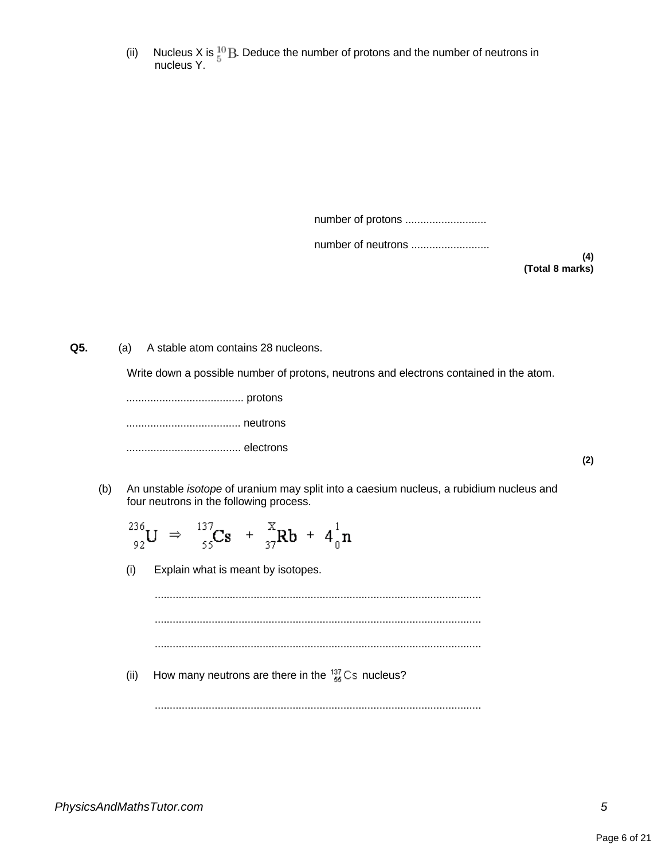(ii) Nucleus X is  $E^{\text{1D}}$  Deduce the number of protons and the number of neutrons in nucleus Y.

number of protons ............................

number of neutrons ..........................

**(4) (Total 8 marks)**

**Q5.** (a) A stable atom contains 28 nucleons.

Write down a possible number of protons, neutrons and electrons contained in the atom.

....................................... protons

...................................... neutrons

...................................... electrons

- **(2)**
- (b) An unstable isotope of uranium may split into a caesium nucleus, a rubidium nucleus and four neutrons in the following process.

.............................................................................................................

 $^{236}_{92}U \Rightarrow ^{137}_{55}Cs + ^{X}_{37}Rb + 4^{1}_{0}n$ (i) Explain what is meant by isotopes. ............................................................................................................. ............................................................................................................. ............................................................................................................. (ii) How many neutrons are there in the  $^{137}_{55}$ Cs nucleus?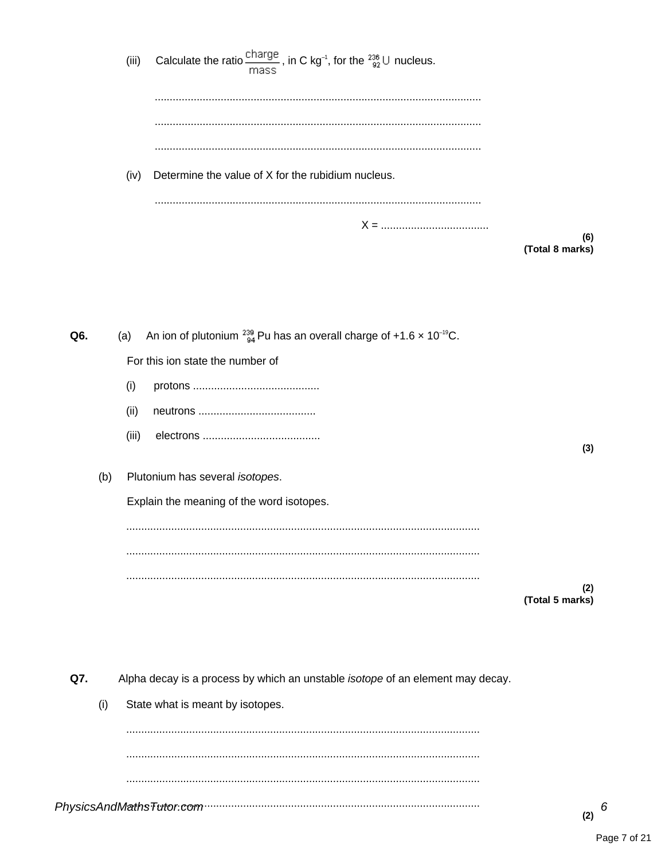Calculate the ratio  $\frac{\text{charge}}{\text{mass}}$ , in C kg<sup>-1</sup>, for the  $\frac{236}{92}$ U nucleus.  $(iii)$ (iv) Determine the value of X for the rubidium nucleus.  $X = 1$  $(6)$ (Total 8 marks)

| Q6. |     | (a)   | An ion of plutonium $^{239}_{94}$ Pu has an overall charge of +1.6 x 10 <sup>-19</sup> C. |                        |
|-----|-----|-------|-------------------------------------------------------------------------------------------|------------------------|
|     |     |       | For this ion state the number of                                                          |                        |
|     |     | (i)   |                                                                                           |                        |
|     |     | (ii)  |                                                                                           |                        |
|     |     | (iii) |                                                                                           | (3)                    |
|     | (b) |       | Plutonium has several isotopes.                                                           |                        |
|     |     |       | Explain the meaning of the word isotopes.                                                 |                        |
|     |     |       |                                                                                           |                        |
|     |     |       |                                                                                           |                        |
|     |     |       |                                                                                           | (2)<br>(Total 5 marks) |
|     |     |       |                                                                                           |                        |
|     |     |       |                                                                                           |                        |
|     |     |       |                                                                                           |                        |
| Q7. |     |       | Alpha decay is a process by which an unstable isotope of an element may decay.            |                        |
|     | (i) |       | State what is meant by isotopes.                                                          |                        |
|     |     |       |                                                                                           |                        |
|     |     |       |                                                                                           |                        |
|     |     |       |                                                                                           |                        |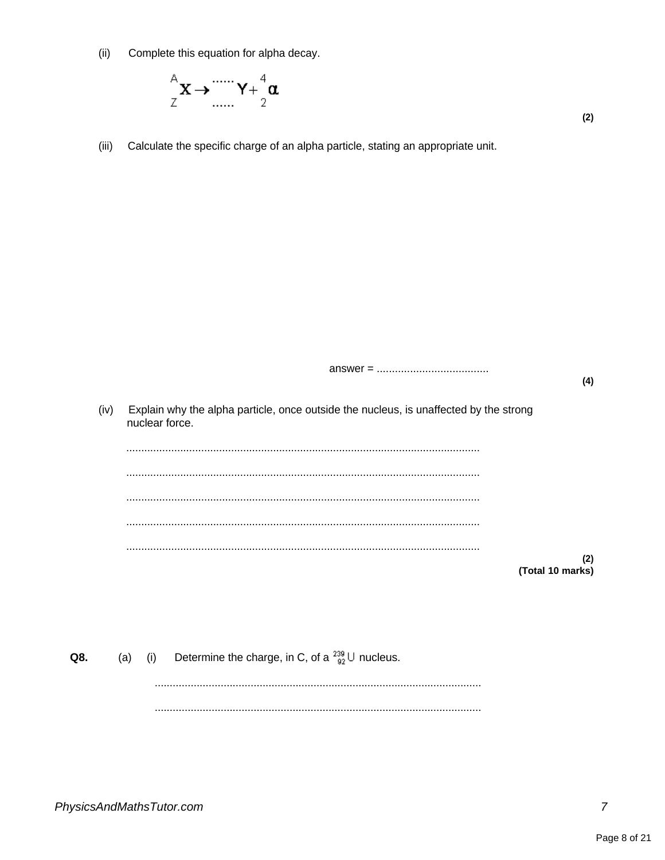Complete this equation for alpha decay.  $(ii)$ 



Calculate the specific charge of an alpha particle, stating an appropriate unit.  $(iii)$ 

|      |                                                                                                         | (4) |
|------|---------------------------------------------------------------------------------------------------------|-----|
| (iv) | Explain why the alpha particle, once outside the nucleus, is unaffected by the strong<br>nuclear force. |     |
|      |                                                                                                         |     |
|      |                                                                                                         |     |
|      |                                                                                                         |     |
|      |                                                                                                         |     |
|      |                                                                                                         | (2) |
|      | (Total 10 marks)                                                                                        |     |

Determine the charge, in C, of a  $^{239}_{92}$  U nucleus.  $(a)$  $(i)$ Q8.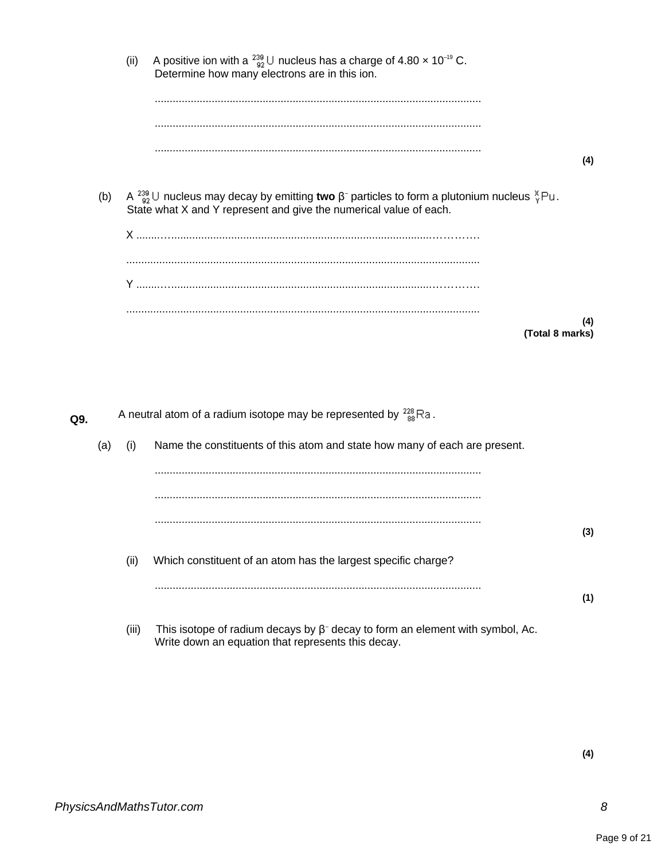|     |     | (ii)  | A positive ion with a $^{239}_{92}$ U nucleus has a charge of 4.80 $\times$ 10 <sup>-19</sup> C.<br>Determine how many electrons are in this ion.                                                  |     |
|-----|-----|-------|----------------------------------------------------------------------------------------------------------------------------------------------------------------------------------------------------|-----|
|     |     |       |                                                                                                                                                                                                    |     |
|     |     |       |                                                                                                                                                                                                    | (4) |
|     | (b) |       | A $^{239}_{92}$ U nucleus may decay by emitting two $\beta^-$ particles to form a plutonium nucleus $^{\aleph}_{\gamma}$ Pu.<br>State what X and Y represent and give the numerical value of each. |     |
|     |     |       |                                                                                                                                                                                                    |     |
|     |     |       |                                                                                                                                                                                                    |     |
|     |     |       |                                                                                                                                                                                                    |     |
|     |     |       | (Total 8 marks)                                                                                                                                                                                    | (4) |
|     |     |       |                                                                                                                                                                                                    |     |
|     |     |       |                                                                                                                                                                                                    |     |
| Q9. |     |       | A neutral atom of a radium isotope may be represented by $\frac{228}{88}$ Ra.                                                                                                                      |     |
|     | (a) | (i)   | Name the constituents of this atom and state how many of each are present.                                                                                                                         |     |
|     |     |       |                                                                                                                                                                                                    |     |
|     |     |       |                                                                                                                                                                                                    |     |
|     |     |       |                                                                                                                                                                                                    | (3) |
|     |     | (ii)  | Which constituent of an atom has the largest specific charge?                                                                                                                                      |     |
|     |     |       |                                                                                                                                                                                                    |     |
|     |     |       |                                                                                                                                                                                                    | (1) |
|     |     | (iii) | This isotope of radium decays by $\beta$ <sup>-</sup> decay to form an element with symbol, Ac.<br>Write down an equation that represents this decay.                                              |     |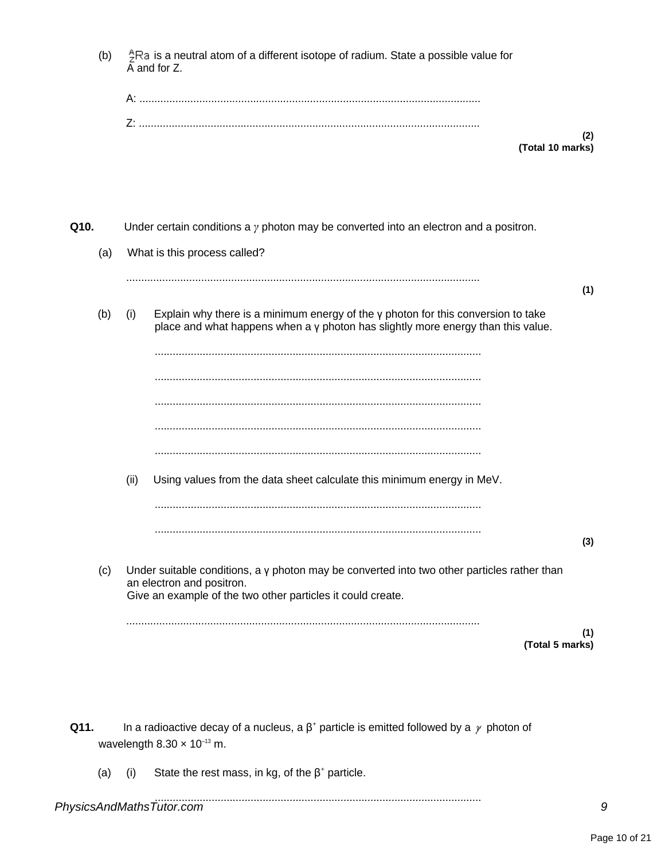|      | (b) |      | ${}_{7}^{4}$ Ra is a neutral atom of a different isotope of radium. State a possible value for<br>$\overline{A}$ and for Z.                                                                    |
|------|-----|------|------------------------------------------------------------------------------------------------------------------------------------------------------------------------------------------------|
|      |     |      |                                                                                                                                                                                                |
|      |     |      | (2)<br>(Total 10 marks)                                                                                                                                                                        |
| Q10. |     |      | Under certain conditions a $\gamma$ photon may be converted into an electron and a positron.                                                                                                   |
|      | (a) |      | What is this process called?                                                                                                                                                                   |
|      |     |      | (1)                                                                                                                                                                                            |
|      | (b) | (i)  | Explain why there is a minimum energy of the $\gamma$ photon for this conversion to take<br>place and what happens when a y photon has slightly more energy than this value.                   |
|      |     |      |                                                                                                                                                                                                |
|      |     |      |                                                                                                                                                                                                |
|      |     |      |                                                                                                                                                                                                |
|      |     | (ii) | Using values from the data sheet calculate this minimum energy in MeV.                                                                                                                         |
|      |     |      |                                                                                                                                                                                                |
|      |     |      | (3)                                                                                                                                                                                            |
|      | (c) |      | Under suitable conditions, a $\gamma$ photon may be converted into two other particles rather than<br>an electron and positron.<br>Give an example of the two other particles it could create. |
|      |     |      | (1)<br>(Total 5 marks)                                                                                                                                                                         |
|      |     |      |                                                                                                                                                                                                |
|      |     |      |                                                                                                                                                                                                |

- **Q11.** In a radioactive decay of a nucleus, a  $\beta^+$  particle is emitted followed by a  $\gamma$  photon of wavelength  $8.30 \times 10^{-13}$  m.
	- (a) (i) State the rest mass, in kg, of the  $\beta^*$  particle.

## ............................................................................................................. *PhysicsAndMathsTutor.com 9*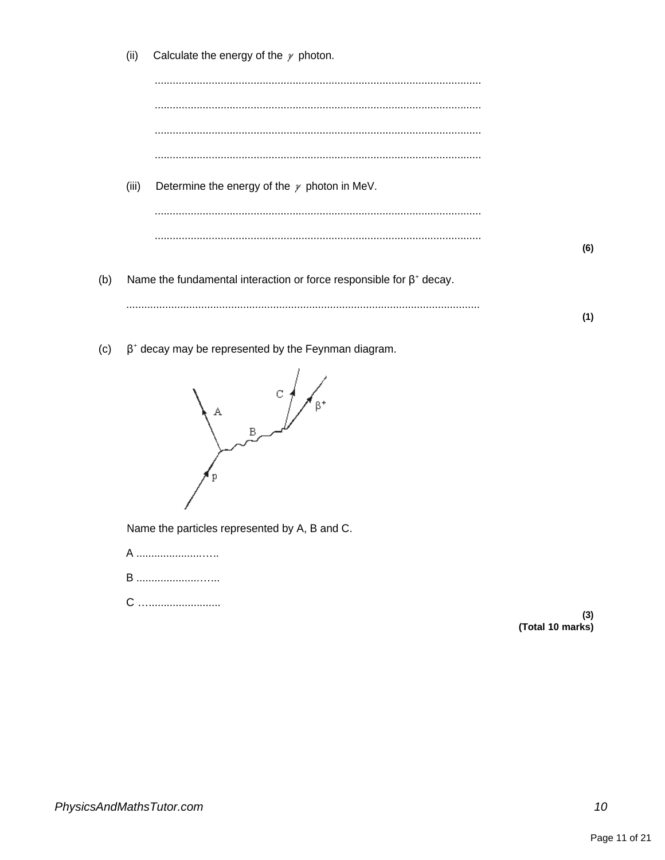|     | (ii)  | Calculate the energy of the $\gamma$ photon.                               |     |
|-----|-------|----------------------------------------------------------------------------|-----|
|     |       |                                                                            |     |
|     |       | .                                                                          |     |
|     |       |                                                                            |     |
|     |       |                                                                            |     |
|     | (iii) | Determine the energy of the $\gamma$ photon in MeV.                        |     |
|     |       |                                                                            |     |
|     |       |                                                                            | (6) |
| (b) |       | Name the fundamental interaction or force responsible for $\beta^*$ decay. |     |
|     |       |                                                                            |     |
|     |       |                                                                            | (1) |

 $\beta^*$  decay may be represented by the Feynman diagram.  $(c)$ 



Name the particles represented by A, B and C.

- A ............................
- **B** .............................
- 

(3)<br>(Total 10 marks)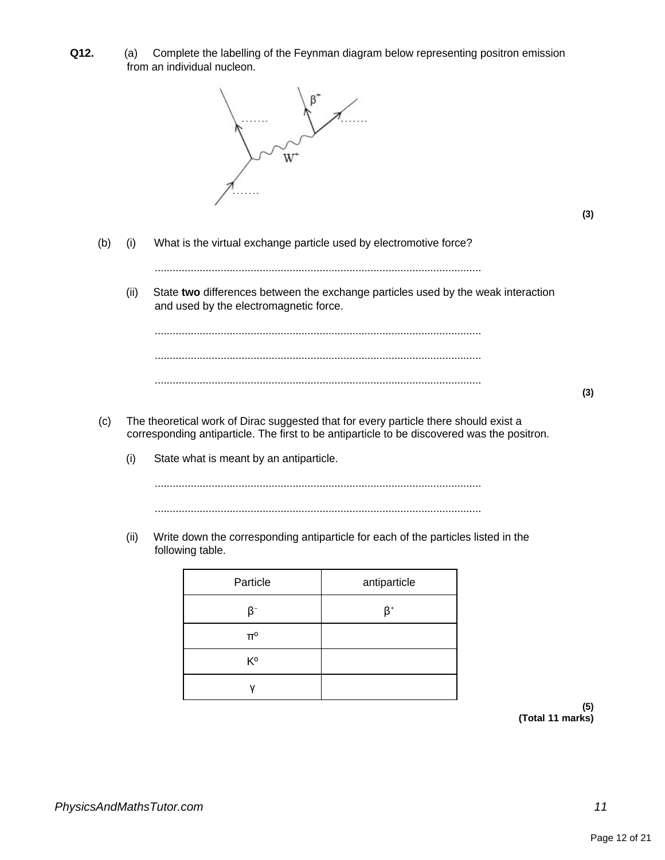**Q12.** (a) Complete the labelling of the Feynman diagram below representing positron emission from an individual nucleon.



**(3)**

(b) (i) What is the virtual exchange particle used by electromotive force?

.............................................................................................................

(ii) State **two** differences between the exchange particles used by the weak interaction and used by the electromagnetic force.

............................................................................................................. ............................................................................................................. .............................................................................................................

- (c) The theoretical work of Dirac suggested that for every particle there should exist a corresponding antiparticle. The first to be antiparticle to be discovered was the positron.
	- (i) State what is meant by an antiparticle.

............................................................................................................. .............................................................................................................

(ii) Write down the corresponding antiparticle for each of the particles listed in the following table.

| Particle       | antiparticle |
|----------------|--------------|
| B-             | ß+           |
| $\Pi^0$        |              |
| K <sup>o</sup> |              |
|                |              |

**(5) (Total 11 marks)**